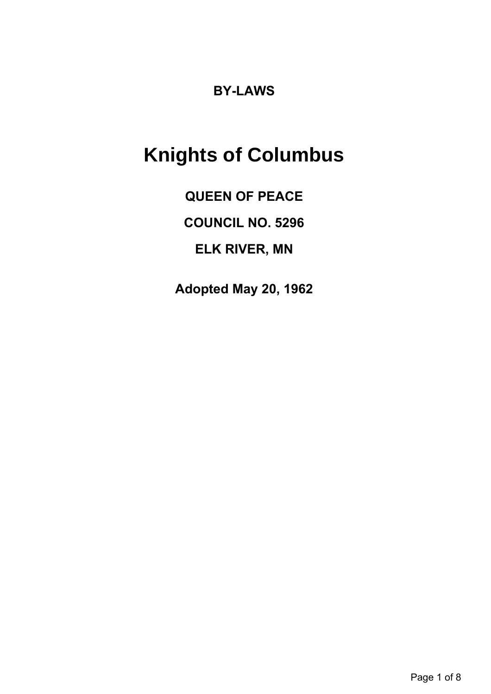# **BY-LAWS**

# **Knights of Columbus**

**QUEEN OF PEACE**

**COUNCIL NO. 5296**

**ELK RIVER, MN**

**Adopted May 20, 1962**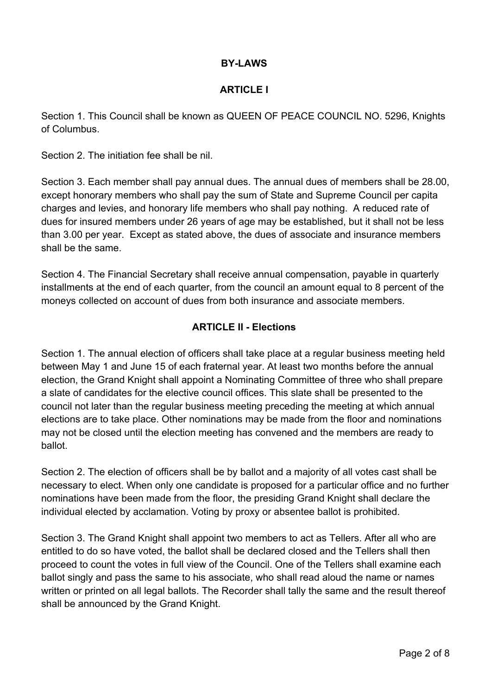# **BY-LAWS**

#### **ARTICLE I**

Section 1. This Council shall be known as QUEEN OF PEACE COUNCIL NO. 5296, Knights of Columbus.

Section 2. The initiation fee shall be nil.

Section 3. Each member shall pay annual dues. The annual dues of members shall be 28.00, except honorary members who shall pay the sum of State and Supreme Council per capita charges and levies, and honorary life members who shall pay nothing. A reduced rate of dues for insured members under 26 years of age may be established, but it shall not be less than 3.00 per year. Except as stated above, the dues of associate and insurance members shall be the same.

Section 4. The Financial Secretary shall receive annual compensation, payable in quarterly installments at the end of each quarter, from the council an amount equal to 8 percent of the moneys collected on account of dues from both insurance and associate members.

## **ARTICLE II - Elections**

Section 1. The annual election of officers shall take place at a regular business meeting held between May 1 and June 15 of each fraternal year. At least two months before the annual election, the Grand Knight shall appoint a Nominating Committee of three who shall prepare a slate of candidates for the elective council offices. This slate shall be presented to the council not later than the regular business meeting preceding the meeting at which annual elections are to take place. Other nominations may be made from the floor and nominations may not be closed until the election meeting has convened and the members are ready to ballot.

Section 2. The election of officers shall be by ballot and a majority of all votes cast shall be necessary to elect. When only one candidate is proposed for a particular office and no further nominations have been made from the floor, the presiding Grand Knight shall declare the individual elected by acclamation. Voting by proxy or absentee ballot is prohibited.

Section 3. The Grand Knight shall appoint two members to act as Tellers. After all who are entitled to do so have voted, the ballot shall be declared closed and the Tellers shall then proceed to count the votes in full view of the Council. One of the Tellers shall examine each ballot singly and pass the same to his associate, who shall read aloud the name or names written or printed on all legal ballots. The Recorder shall tally the same and the result thereof shall be announced by the Grand Knight.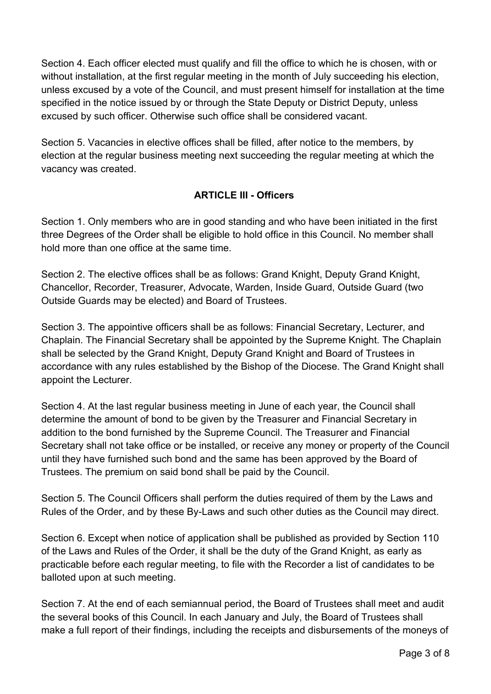Section 4. Each officer elected must qualify and fill the office to which he is chosen, with or without installation, at the first regular meeting in the month of July succeeding his election, unless excused by a vote of the Council, and must present himself for installation at the time specified in the notice issued by or through the State Deputy or District Deputy, unless excused by such officer. Otherwise such office shall be considered vacant.

Section 5. Vacancies in elective offices shall be filled, after notice to the members, by election at the regular business meeting next succeeding the regular meeting at which the vacancy was created.

# **ARTICLE III - Officers**

Section 1. Only members who are in good standing and who have been initiated in the first three Degrees of the Order shall be eligible to hold office in this Council. No member shall hold more than one office at the same time.

Section 2. The elective offices shall be as follows: Grand Knight, Deputy Grand Knight, Chancellor, Recorder, Treasurer, Advocate, Warden, Inside Guard, Outside Guard (two Outside Guards may be elected) and Board of Trustees.

Section 3. The appointive officers shall be as follows: Financial Secretary, Lecturer, and Chaplain. The Financial Secretary shall be appointed by the Supreme Knight. The Chaplain shall be selected by the Grand Knight, Deputy Grand Knight and Board of Trustees in accordance with any rules established by the Bishop of the Diocese. The Grand Knight shall appoint the Lecturer.

Section 4. At the last regular business meeting in June of each year, the Council shall determine the amount of bond to be given by the Treasurer and Financial Secretary in addition to the bond furnished by the Supreme Council. The Treasurer and Financial Secretary shall not take office or be installed, or receive any money or property of the Council until they have furnished such bond and the same has been approved by the Board of Trustees. The premium on said bond shall be paid by the Council.

Section 5. The Council Officers shall perform the duties required of them by the Laws and Rules of the Order, and by these By-Laws and such other duties as the Council may direct.

Section 6. Except when notice of application shall be published as provided by Section 110 of the Laws and Rules of the Order, it shall be the duty of the Grand Knight, as early as practicable before each regular meeting, to file with the Recorder a list of candidates to be balloted upon at such meeting.

Section 7. At the end of each semiannual period, the Board of Trustees shall meet and audit the several books of this Council. In each January and July, the Board of Trustees shall make a full report of their findings, including the receipts and disbursements of the moneys of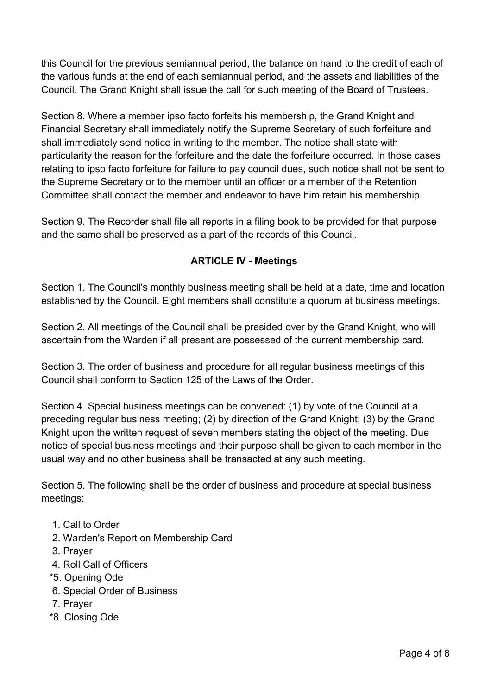this Council for the previous semiannual period, the balance on hand to the credit of each of the various funds at the end of each semiannual period, and the assets and liabilities of the Council. The Grand Knight shall issue the call for such meeting of the Board of Trustees.

Section 8. Where a member ipso facto forfeits his membership, the Grand Knight and Financial Secretary shall immediately notify the Supreme Secretary of such forfeiture and shall immediately send notice in writing to the member. The notice shall state with particularity the reason for the forfeiture and the date the forfeiture occurred. In those cases relating to ipso facto forfeiture for failure to pay council dues, such notice shall not be sent to the Supreme Secretary or to the member until an officer or a member of the Retention Committee shall contact the member and endeavor to have him retain his membership.

Section 9. The Recorder shall file all reports in a filing book to be provided for that purpose and the same shall be preserved as a part of the records of this Council.

# **ARTICLE IV - Meetings**

Section 1. The Council's monthly business meeting shall be held at a date, time and location established by the Council. Eight members shall constitute a quorum at business meetings.

Section 2. All meetings of the Council shall be presided over by the Grand Knight, who will ascertain from the Warden if all present are possessed of the current membership card.

Section 3. The order of business and procedure for all regular business meetings of this Council shall conform to Section 125 of the Laws of the Order.

Section 4. Special business meetings can be convened: (1) by vote of the Council at a preceding regular business meeting; (2) by direction of the Grand Knight; (3) by the Grand Knight upon the written request of seven members stating the object of the meeting. Due notice of special business meetings and their purpose shall be given to each member in the usual way and no other business shall be transacted at any such meeting.

Section 5. The following shall be the order of business and procedure at special business meetings:

- 1. Call to Order
- 2. Warden's Report on Membership Card
- 3. Prayer
- 4. Roll Call of Officers
- \*5. Opening Ode
- 6. Special Order of Business
- 7. Prayer
- \*8. Closing Ode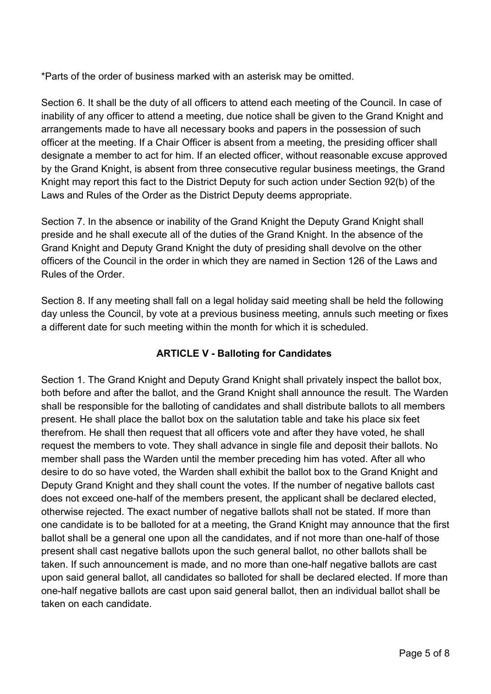\*Parts of the order of business marked with an asterisk may be omitted.

Section 6. It shall be the duty of all officers to attend each meeting of the Council. In case of inability of any officer to attend a meeting, due notice shall be given to the Grand Knight and arrangements made to have all necessary books and papers in the possession of such officer at the meeting. If a Chair Officer is absent from a meeting, the presiding officer shall designate a member to act for him. If an elected officer, without reasonable excuse approved by the Grand Knight, is absent from three consecutive regular business meetings, the Grand Knight may report this fact to the District Deputy for such action under Section 92(b) of the Laws and Rules of the Order as the District Deputy deems appropriate.

Section 7. In the absence or inability of the Grand Knight the Deputy Grand Knight shall preside and he shall execute all of the duties of the Grand Knight. In the absence of the Grand Knight and Deputy Grand Knight the duty of presiding shall devolve on the other officers of the Council in the order in which they are named in Section 126 of the Laws and Rules of the Order.

Section 8. If any meeting shall fall on a legal holiday said meeting shall be held the following day unless the Council, by vote at a previous business meeting, annuls such meeting or fixes a different date for such meeting within the month for which it is scheduled.

# **ARTICLE V - Balloting for Candidates**

Section 1. The Grand Knight and Deputy Grand Knight shall privately inspect the ballot box, both before and after the ballot, and the Grand Knight shall announce the result. The Warden shall be responsible for the balloting of candidates and shall distribute ballots to all members present. He shall place the ballot box on the salutation table and take his place six feet therefrom. He shall then request that all officers vote and after they have voted, he shall request the members to vote. They shall advance in single file and deposit their ballots. No member shall pass the Warden until the member preceding him has voted. After all who desire to do so have voted, the Warden shall exhibit the ballot box to the Grand Knight and Deputy Grand Knight and they shall count the votes. If the number of negative ballots cast does not exceed one-half of the members present, the applicant shall be declared elected, otherwise rejected. The exact number of negative ballots shall not be stated. If more than one candidate is to be balloted for at a meeting, the Grand Knight may announce that the first ballot shall be a general one upon all the candidates, and if not more than one-half of those present shall cast negative ballots upon the such general ballot, no other ballots shall be taken. If such announcement is made, and no more than one-half negative ballots are cast upon said general ballot, all candidates so balloted for shall be declared elected. If more than one-half negative ballots are cast upon said general ballot, then an individual ballot shall be taken on each candidate.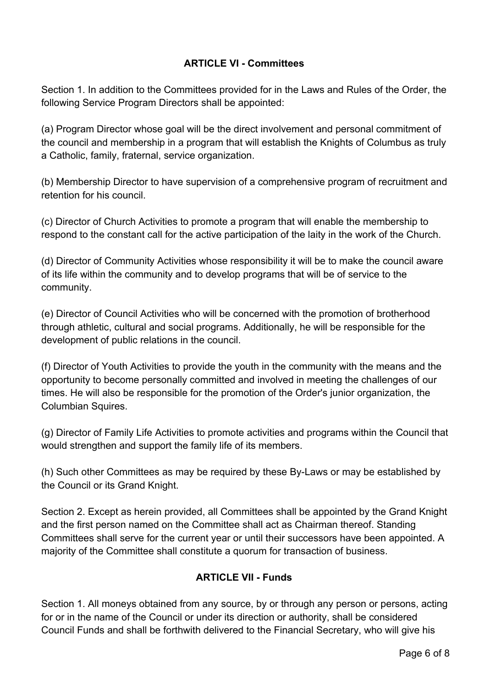# **ARTICLE VI - Committees**

Section 1. In addition to the Committees provided for in the Laws and Rules of the Order, the following Service Program Directors shall be appointed:

(a) Program Director whose goal will be the direct involvement and personal commitment of the council and membership in a program that will establish the Knights of Columbus as truly a Catholic, family, fraternal, service organization.

(b) Membership Director to have supervision of a comprehensive program of recruitment and retention for his council.

(c) Director of Church Activities to promote a program that will enable the membership to respond to the constant call for the active participation of the laity in the work of the Church.

(d) Director of Community Activities whose responsibility it will be to make the council aware of its life within the community and to develop programs that will be of service to the community.

(e) Director of Council Activities who will be concerned with the promotion of brotherhood through athletic, cultural and social programs. Additionally, he will be responsible for the development of public relations in the council.

(f) Director of Youth Activities to provide the youth in the community with the means and the opportunity to become personally committed and involved in meeting the challenges of our times. He will also be responsible for the promotion of the Order's junior organization, the Columbian Squires.

(g) Director of Family Life Activities to promote activities and programs within the Council that would strengthen and support the family life of its members.

(h) Such other Committees as may be required by these By-Laws or may be established by the Council or its Grand Knight.

Section 2. Except as herein provided, all Committees shall be appointed by the Grand Knight and the first person named on the Committee shall act as Chairman thereof. Standing Committees shall serve for the current year or until their successors have been appointed. A majority of the Committee shall constitute a quorum for transaction of business.

# **ARTICLE VII - Funds**

Section 1. All moneys obtained from any source, by or through any person or persons, acting for or in the name of the Council or under its direction or authority, shall be considered Council Funds and shall be forthwith delivered to the Financial Secretary, who will give his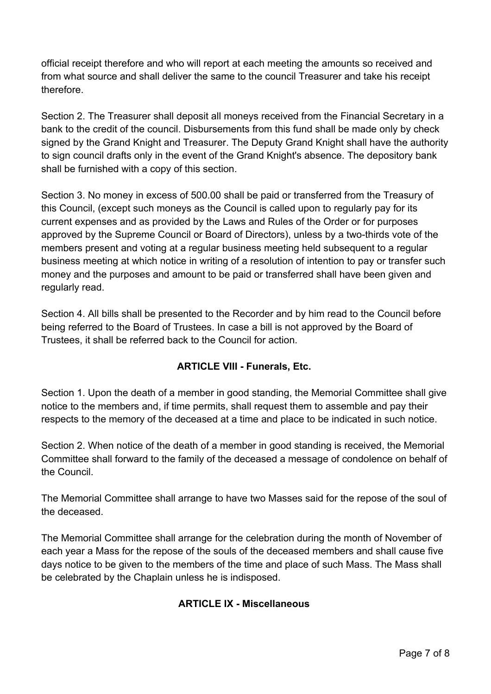official receipt therefore and who will report at each meeting the amounts so received and from what source and shall deliver the same to the council Treasurer and take his receipt therefore.

Section 2. The Treasurer shall deposit all moneys received from the Financial Secretary in a bank to the credit of the council. Disbursements from this fund shall be made only by check signed by the Grand Knight and Treasurer. The Deputy Grand Knight shall have the authority to sign council drafts only in the event of the Grand Knight's absence. The depository bank shall be furnished with a copy of this section.

Section 3. No money in excess of 500.00 shall be paid or transferred from the Treasury of this Council, (except such moneys as the Council is called upon to regularly pay for its current expenses and as provided by the Laws and Rules of the Order or for purposes approved by the Supreme Council or Board of Directors), unless by a two-thirds vote of the members present and voting at a regular business meeting held subsequent to a regular business meeting at which notice in writing of a resolution of intention to pay or transfer such money and the purposes and amount to be paid or transferred shall have been given and regularly read.

Section 4. All bills shall be presented to the Recorder and by him read to the Council before being referred to the Board of Trustees. In case a bill is not approved by the Board of Trustees, it shall be referred back to the Council for action.

# **ARTICLE VIII - Funerals, Etc.**

Section 1. Upon the death of a member in good standing, the Memorial Committee shall give notice to the members and, if time permits, shall request them to assemble and pay their respects to the memory of the deceased at a time and place to be indicated in such notice.

Section 2. When notice of the death of a member in good standing is received, the Memorial Committee shall forward to the family of the deceased a message of condolence on behalf of the Council.

The Memorial Committee shall arrange to have two Masses said for the repose of the soul of the deceased.

The Memorial Committee shall arrange for the celebration during the month of November of each year a Mass for the repose of the souls of the deceased members and shall cause five days notice to be given to the members of the time and place of such Mass. The Mass shall be celebrated by the Chaplain unless he is indisposed.

# **ARTICLE IX - Miscellaneous**